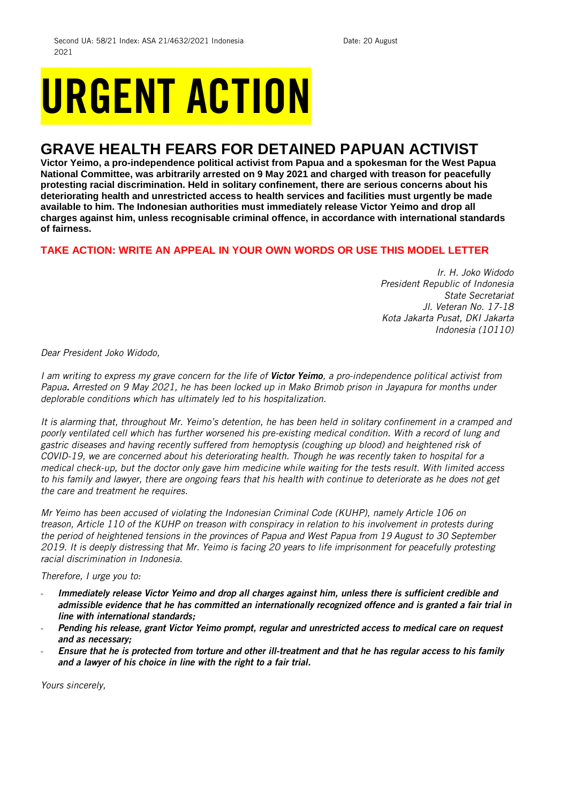## URGENT ACTION

## **GRAVE HEALTH FEARS FOR DETAINED PAPUAN ACTIVIST**

**Victor Yeimo, a pro-independence political activist from Papua and a spokesman for the West Papua National Committee, was arbitrarily arrested on 9 May 2021 and charged with treason for peacefully protesting racial discrimination. Held in solitary confinement, there are serious concerns about his deteriorating health and unrestricted access to health services and facilities must urgently be made available to him. The Indonesian authorities must immediately release Victor Yeimo and drop all charges against him, unless recognisable criminal offence, in accordance with international standards of fairness.** 

## **TAKE ACTION: WRITE AN APPEAL IN YOUR OWN WORDS OR USE THIS MODEL LETTER**

*Ir. H. Joko Widodo President Republic of Indonesia State Secretariat Jl. Veteran No. 17-18 Kota Jakarta Pusat, DKI Jakarta Indonesia (10110)*

*Dear President Joko Widodo,*

*I am writing to express my grave concern for the life of Victor Yeimo, a pro-independence political activist from Papua. Arrested on 9 May 2021, he has been locked up in Mako Brimob prison in Jayapura for months under deplorable conditions which has ultimately led to his hospitalization.* 

*It is alarming that, throughout Mr. Yeimo's detention, he has been held in solitary confinement in a cramped and poorly ventilated cell which has further worsened his pre-existing medical condition. With a record of lung and gastric diseases and having recently suffered from hemoptysis (coughing up blood) and heightened risk of COVID-19, we are concerned about his deteriorating health. Though he was recently taken to hospital for a medical check-up, but the doctor only gave him medicine while waiting for the tests result. With limited access to his family and lawyer, there are ongoing fears that his health with continue to deteriorate as he does not get the care and treatment he requires.* 

*Mr Yeimo has been accused of violating the Indonesian Criminal Code (KUHP), namely Article 106 on treason, Article 110 of the KUHP on treason with conspiracy in relation to his involvement in protests during the period of heightened tensions in the provinces of Papua and West Papua from 19 August to 30 September 2019. It is deeply distressing that Mr. Yeimo is facing 20 years to life imprisonment for peacefully protesting racial discrimination in Indonesia.*

*Therefore, I urge you to:*

- *Immediately release Victor Yeimo and drop all charges against him, unless there is sufficient credible and admissible evidence that he has committed an internationally recognized offence and is granted a fair trial in line with international standards;*
- *Pending his release, grant Victor Yeimo prompt, regular and unrestricted access to medical care on request and as necessary;*
- *Ensure that he is protected from torture and other ill-treatment and that he has regular access to his family and a lawyer of his choice in line with the right to a fair trial.*

*Yours sincerely,*